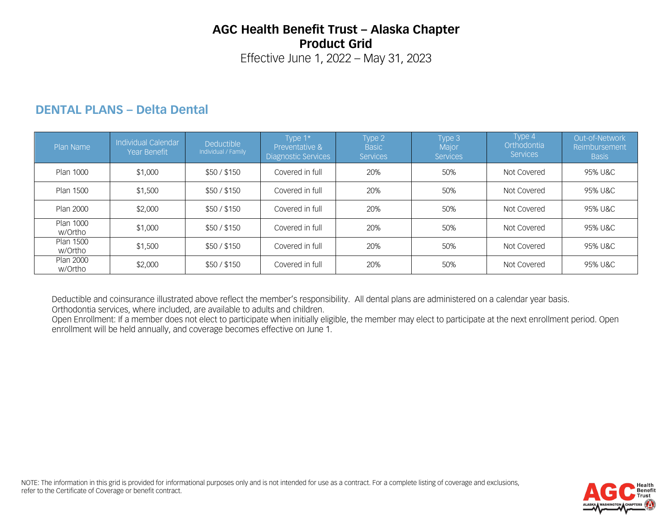# **AGC Health Benefit Trust – Alaska Chapter Product Grid**

Effective June 1, 2022 – May 31, 2023

### **DENTAL PLANS – Delta Dental**

| Plan Name            | Individual Calendar<br><b>Year Benefit</b> | <b>Deductible</b><br>Individual / Family | Type 1*<br>Preventative &<br><b>Diagnostic Services</b> | Type 2<br><b>Basic</b><br><b>Services</b> | Type 3<br>Major<br><b>Services</b> | Type 4<br>Orthodontia<br><b>Services</b> | Out-of-Network<br>Reimbursement<br><b>Basis</b> |
|----------------------|--------------------------------------------|------------------------------------------|---------------------------------------------------------|-------------------------------------------|------------------------------------|------------------------------------------|-------------------------------------------------|
| Plan 1000            | \$1,000                                    | \$50/\$150                               | Covered in full                                         | 20%                                       | 50%                                | Not Covered                              | 95% U&C                                         |
| Plan 1500            | \$1,500                                    | \$50/\$150                               | Covered in full                                         | 20%                                       | 50%                                | Not Covered                              | 95% U&C                                         |
| Plan 2000            | \$2,000                                    | \$50/\$150                               | Covered in full                                         | 20%                                       | 50%                                | Not Covered                              | 95% U&C                                         |
| Plan 1000<br>w/Ortho | \$1,000                                    | \$50/\$150                               | Covered in full                                         | 20%                                       | 50%                                | Not Covered                              | 95% U&C                                         |
| Plan 1500<br>w/Ortho | \$1,500                                    | \$50/\$150                               | Covered in full                                         | 20%                                       | 50%                                | Not Covered                              | 95% U&C                                         |
| Plan 2000<br>w/Ortho | \$2,000                                    | \$50/\$150                               | Covered in full                                         | 20%                                       | 50%                                | Not Covered                              | 95% U&C                                         |

Deductible and coinsurance illustrated above reflect the member's responsibility. All dental plans are administered on a calendar year basis. Orthodontia services, where included, are available to adults and children.

Open Enrollment: If a member does not elect to participate when initially eligible, the member may elect to participate at the next enrollment period. Open enrollment will be held annually, and coverage becomes effective on June 1.